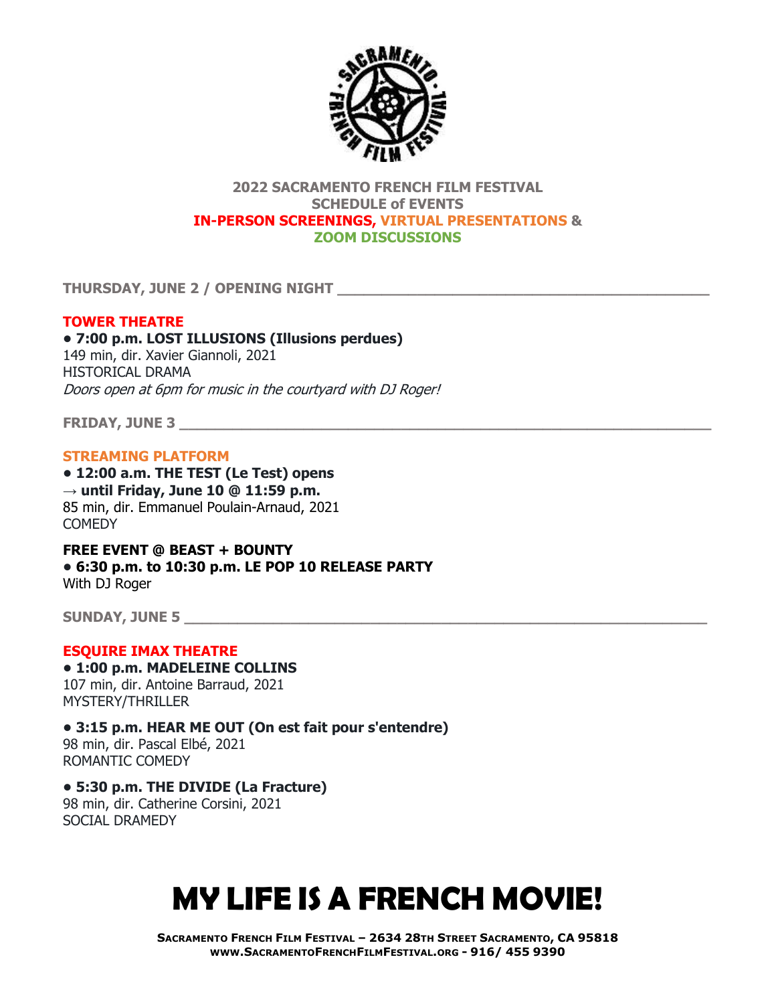

## **2022 SACRAMENTO FRENCH FILM FESTIVAL SCHEDULE of EVENTS IN-PERSON SCREENINGS, VIRTUAL PRESENTATIONS & ZOOM DISCUSSIONS**

**THURSDAY, JUNE 2 / OPENING NIGHT \_\_\_\_\_\_\_\_\_\_\_\_\_\_\_\_\_\_\_\_\_\_\_\_\_\_\_\_\_\_\_\_\_\_\_\_\_\_\_\_\_\_**

# **TOWER THEATRE**

**• 7:00 p.m. LOST ILLUSIONS (Illusions perdues)** 149 min, dir. Xavier Giannoli, 2021 HISTORICAL DRAMA Doors open at 6pm for music in the courtyard with DJ Roger!

**FRIDAY, JUNE 3 \_\_\_\_\_\_\_\_\_\_\_\_\_\_\_\_\_\_\_\_\_\_\_\_\_\_\_\_\_\_\_\_\_\_\_\_\_\_\_\_\_\_\_\_\_\_\_\_\_\_\_\_\_\_\_\_\_\_\_\_**

## **STREAMING PLATFORM**

**• 12:00 a.m. THE TEST (Le Test) opens → until Friday, June 10 @ 11:59 p.m.** 85 min, dir. Emmanuel Poulain-Arnaud, 2021 **COMEDY** 

**FREE EVENT @ BEAST + BOUNTY • 6:30 p.m. to 10:30 p.m. LE POP 10 RELEASE PARTY** With DJ Roger

**SUNDAY, JUNE 5 \_\_\_\_\_\_\_\_\_\_\_\_\_\_\_\_\_\_\_\_\_\_\_\_\_\_\_\_\_\_\_\_\_\_\_\_\_\_\_\_\_\_\_\_\_\_\_\_\_\_\_\_\_\_\_\_\_\_\_**

## **ESQUIRE IMAX THEATRE**

**• 1:00 p.m. MADELEINE COLLINS** 107 min, dir. Antoine Barraud, 2021 MYSTERY/THRILLER

**• 3:15 p.m. HEAR ME OUT (On est fait pour s'entendre)** 98 min, dir. Pascal Elbé, 2021 ROMANTIC COMEDY

## **• 5:30 p.m. THE DIVIDE (La Fracture)**

98 min, dir. Catherine Corsini, 2021 SOCIAL DRAMEDY

# **MY LIFE IS A FRENCH MOVIE!**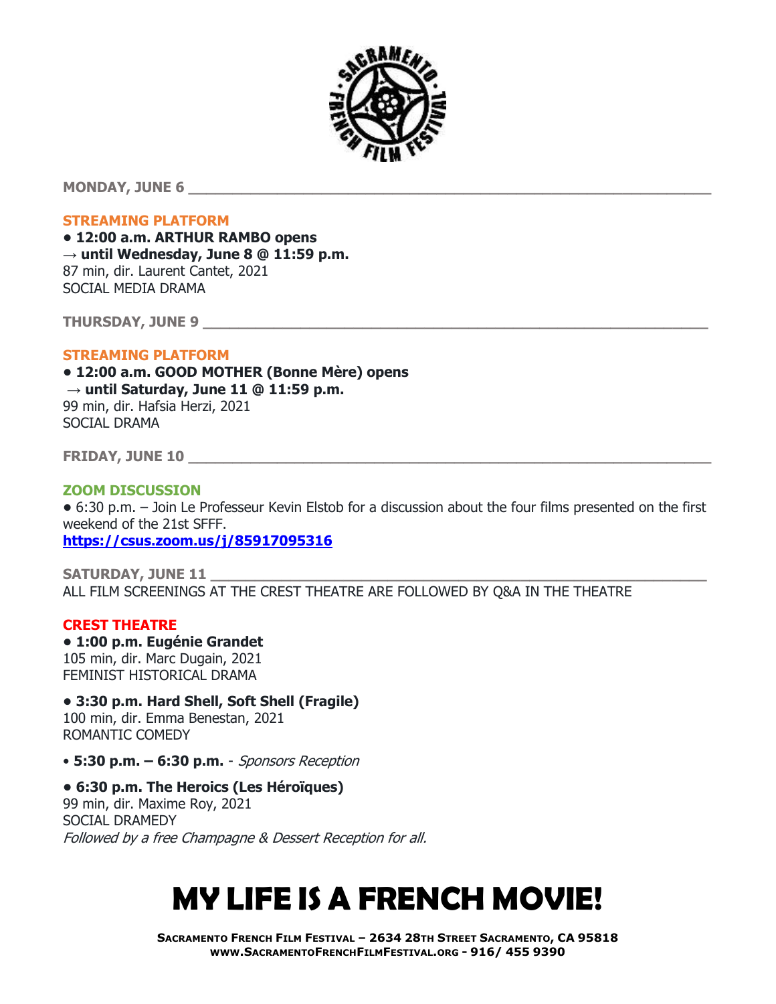

**MONDAY, JUNE 6 \_\_\_\_\_\_\_\_\_\_\_\_\_\_\_\_\_\_\_\_\_\_\_\_\_\_\_\_\_\_\_\_\_\_\_\_\_\_\_\_\_\_\_\_\_\_\_\_\_\_\_\_\_\_\_\_\_\_\_**

#### **STREAMING PLATFORM**

**• 12:00 a.m. ARTHUR RAMBO opens → until Wednesday, June 8 @ 11:59 p.m.** 87 min, dir. Laurent Cantet, 2021 SOCIAL MEDIA DRAMA

**THURSDAY, JUNE 9 \_\_\_\_\_\_\_\_\_\_\_\_\_\_\_\_\_\_\_\_\_\_\_\_\_\_\_\_\_\_\_\_\_\_\_\_\_\_\_\_\_\_\_\_\_\_\_\_\_\_\_\_\_\_\_\_\_**

## **STREAMING PLATFORM**

**• 12:00 a.m. GOOD MOTHER (Bonne Mère) opens → until Saturday, June 11 @ 11:59 p.m.** 99 min, dir. Hafsia Herzi, 2021 SOCIAL DRAMA

**FRIDAY, JUNE 10 \_\_\_\_\_\_\_\_\_\_\_\_\_\_\_\_\_\_\_\_\_\_\_\_\_\_\_\_\_\_\_\_\_\_\_\_\_\_\_\_\_\_\_\_\_\_\_\_\_\_\_\_\_\_\_\_\_\_\_**

## **ZOOM DISCUSSION**

**•** 6:30 p.m. – Join Le Professeur Kevin Elstob for a discussion about the four films presented on the first weekend of the 21st SFFF.

**<https://csus.zoom.us/j/85917095316>**

**SATURDAY, JUNE 11 \_\_\_\_\_\_\_\_\_\_\_\_\_\_\_\_\_\_\_\_\_\_\_\_\_\_\_\_\_\_\_\_\_\_\_\_\_\_\_\_\_\_\_\_\_\_\_\_\_\_\_\_\_\_\_\_** ALL FILM SCREENINGS AT THE CREST THEATRE ARE FOLLOWED BY Q&A IN THE THEATRE

#### **CREST THEATRE**

**• 1:00 p.m. Eugénie Grandet** 105 min, dir. Marc Dugain, 2021 FEMINIST HISTORICAL DRAMA

# **• 3:30 p.m. Hard Shell, Soft Shell (Fragile)**

100 min, dir. Emma Benestan, 2021 ROMANTIC COMEDY

- **5:30 p.m. – 6:30 p.m.** Sponsors Reception
- **6:30 p.m. The Heroics (Les Héroïques)**

99 min, dir. Maxime Roy, 2021 SOCIAL DRAMEDY Followed by a free Champagne & Dessert Reception for all.

# **MY LIFE IS A FRENCH MOVIE!**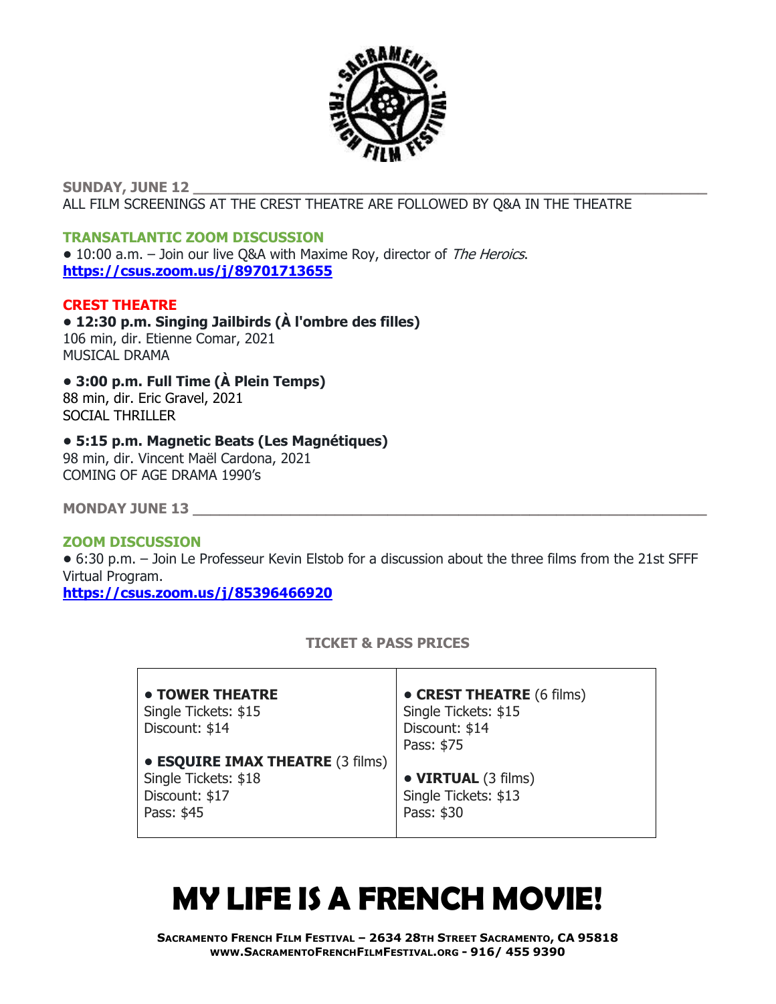

**SUNDAY, JUNE 12 \_\_\_\_\_\_\_\_\_\_\_\_\_\_\_\_\_\_\_\_\_\_\_\_\_\_\_\_\_\_\_\_\_\_\_\_\_\_\_\_\_\_\_\_\_\_\_\_\_\_\_\_\_\_\_\_\_\_** ALL FILM SCREENINGS AT THE CREST THEATRE ARE FOLLOWED BY Q&A IN THE THEATRE

## **TRANSATLANTIC ZOOM DISCUSSION**

**•** 10:00 a.m. – Join our live Q&A with Maxime Roy, director of The Heroics. **<https://csus.zoom.us/j/89701713655>**

# **CREST THEATRE**

**• 12:30 p.m. Singing Jailbirds (À l'ombre des filles)** 106 min, dir. Etienne Comar, 2021 MUSICAL DRAMA

#### **• 3:00 p.m. Full Time (À Plein Temps)** 88 min, dir. Eric Gravel, 2021 SOCIAL THRILLER

# **• 5:15 p.m. Magnetic Beats (Les Magnétiques)**

98 min, dir. Vincent Maël Cardona, 2021 COMING OF AGE DRAMA 1990's

**MONDAY JUNE 13 \_\_\_\_\_\_\_\_\_\_\_\_\_\_\_\_\_\_\_\_\_\_\_\_\_\_\_\_\_\_\_\_\_\_\_\_\_\_\_\_\_\_\_\_\_\_\_\_\_\_\_\_\_\_\_\_\_\_**

## **ZOOM DISCUSSION**

**•** 6:30 p.m. – Join Le Professeur Kevin Elstob for a discussion about the three films from the 21st SFFF Virtual Program.

**<https://csus.zoom.us/j/85396466920>**

# **TICKET & PASS PRICES**

| • TOWER THEATRE                         | • CREST THEATRE (6 films) |
|-----------------------------------------|---------------------------|
|                                         |                           |
| Single Tickets: \$15                    | Single Tickets: \$15      |
| Discount: \$14                          | Discount: \$14            |
|                                         | Pass: \$75                |
| <b>• ESQUIRE IMAX THEATRE (3 films)</b> |                           |
| Single Tickets: \$18                    | • VIRTUAL (3 films)       |
| Discount: \$17                          | Single Tickets: \$13      |
| Pass: \$45                              | Pass: \$30                |
|                                         |                           |

# **MY LIFE IS A FRENCH MOVIE!**